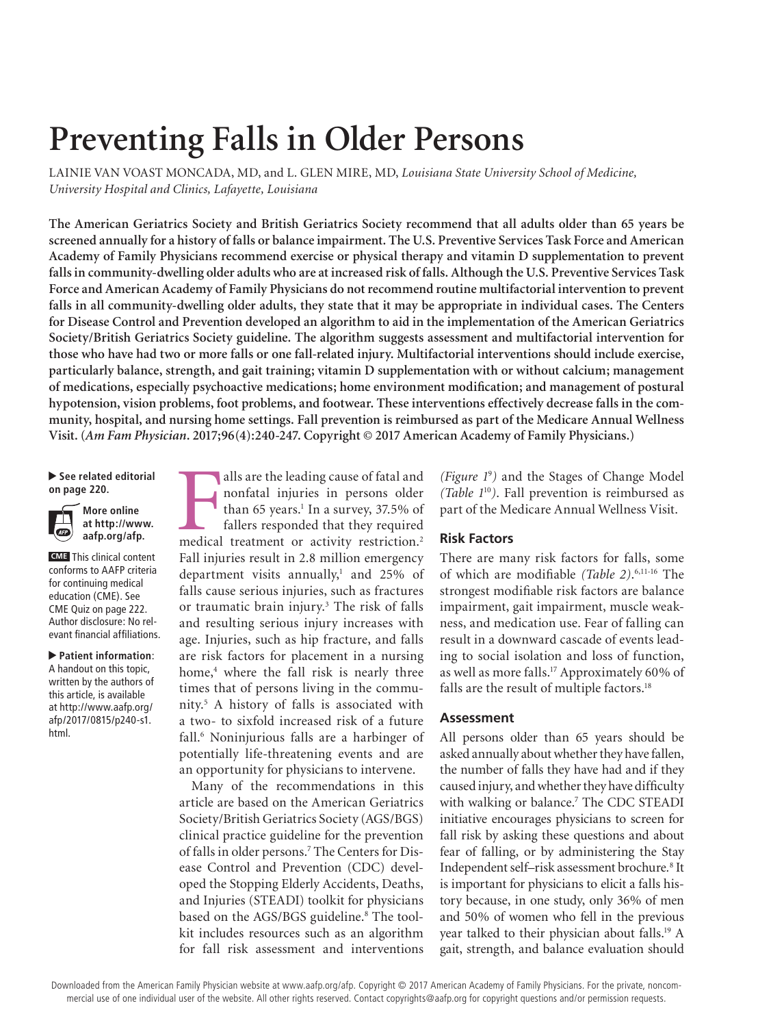# **Preventing Falls in Older Persons**

LAINIE VAN VOAST MONCADA, MD, and L. GLEN MIRE, MD, *Louisiana State University School of Medicine, University Hospital and Clinics, Lafayette, Louisiana*

**The American Geriatrics Society and British Geriatrics Society recommend that all adults older than 65 years be screened annually for a history of falls or balance impairment. The U.S. Preventive Services Task Force and American Academy of Family Physicians recommend exercise or physical therapy and vitamin D supplementation to prevent falls in community-dwelling older adults who are at increased risk of falls. Although the U.S. Preventive Services Task Force and American Academy of Family Physicians do not recommend routine multifactorial intervention to prevent falls in all community-dwelling older adults, they state that it may be appropriate in individual cases. The Centers for Disease Control and Prevention developed an algorithm to aid in the implementation of the American Geriatrics Society/British Geriatrics Society guideline. The algorithm suggests assessment and multifactorial intervention for those who have had two or more falls or one fall-related injury. Multifactorial interventions should include exercise, particularly balance, strength, and gait training; vitamin D supplementation with or without calcium; management of medications, especially psychoactive medications; home environment modification; and management of postural hypotension, vision problems, foot problems, and footwear. These interventions effectively decrease falls in the community, hospital, and nursing home settings. Fall prevention is reimbursed as part of the Medicare Annual Wellness Visit. (***Am Fam Physician***. 2017;96(4):240-247. Copyright © 2017 American Academy of Family Physicians.)**

▶ See related editorial **on page 220.** 



**CME** This clinical content conforms to AAFP criteria for continuing medical education (CME). See CME Quiz on page 222. Author disclosure: No relevant financial affiliations.

▲ **Patient information**: A handout on this topic, written by the authors of this article, is available at http://www.aafp.org/ afp/2017/0815/p240-s1. html.

alls are the leading cause of fatal and<br>nonfatal injuries in persons older<br>than 65 years.<sup>1</sup> In a survey, 37.5% of<br>fallers responded that they required<br>medical treatment or activity restriction.<sup>2</sup> alls are the leading cause of fatal and nonfatal injuries in persons older than 65 years.<sup>1</sup> In a survey, 37.5% of fallers responded that they required Fall injuries result in 2.8 million emergency department visits annually,<sup>1</sup> and 25% of falls cause serious injuries, such as fractures or traumatic brain injury.3 The risk of falls and resulting serious injury increases with age. Injuries, such as hip fracture, and falls are risk factors for placement in a nursing home,<sup>4</sup> where the fall risk is nearly three times that of persons living in the community.5 A history of falls is associated with a two- to sixfold increased risk of a future fall.6 Noninjurious falls are a harbinger of potentially life-threatening events and are an opportunity for physicians to intervene.

Many of the recommendations in this article are based on the American Geriatrics Society/British Geriatrics Society (AGS/BGS) clinical practice guideline for the prevention of falls in older persons.7 The Centers for Disease Control and Prevention (CDC) developed the Stopping Elderly Accidents, Deaths, and Injuries (STEADI) toolkit for physicians based on the AGS/BGS guideline.<sup>8</sup> The toolkit includes resources such as an algorithm for fall risk assessment and interventions *(Figure 1*<sup>9</sup> *)* and the Stages of Change Model *(Table 1*<sup>10</sup>*)*. Fall prevention is reimbursed as part of the Medicare Annual Wellness Visit.

## **Risk Factors**

There are many risk factors for falls, some of which are modifiable *(Table 2)*. 6,11-16 The strongest modifiable risk factors are balance impairment, gait impairment, muscle weakness, and medication use. Fear of falling can result in a downward cascade of events leading to social isolation and loss of function, as well as more falls.<sup>17</sup> Approximately 60% of falls are the result of multiple factors.<sup>18</sup>

### **Assessment**

All persons older than 65 years should be asked annually about whether they have fallen, the number of falls they have had and if they caused injury, and whether they have difficulty with walking or balance.7 The CDC STEADI initiative encourages physicians to screen for fall risk by asking these questions and about fear of falling, or by administering the Stay Independent self–risk assessment brochure*.* 8 It is important for physicians to elicit a falls history because, in one study, only 36% of men and 50% of women who fell in the previous year talked to their physician about falls.<sup>19</sup> A gait, strength, and balance evaluation should

Downloaded from the American Family Physician website at www.aafp.org/afp. Copyright @ 2017 American Academy of Family Physicians. For the private, noncommercial use of one individual user of the website. All other rights reserved. Contact copyrights@aafp.org for copyright questions and/or permission requests.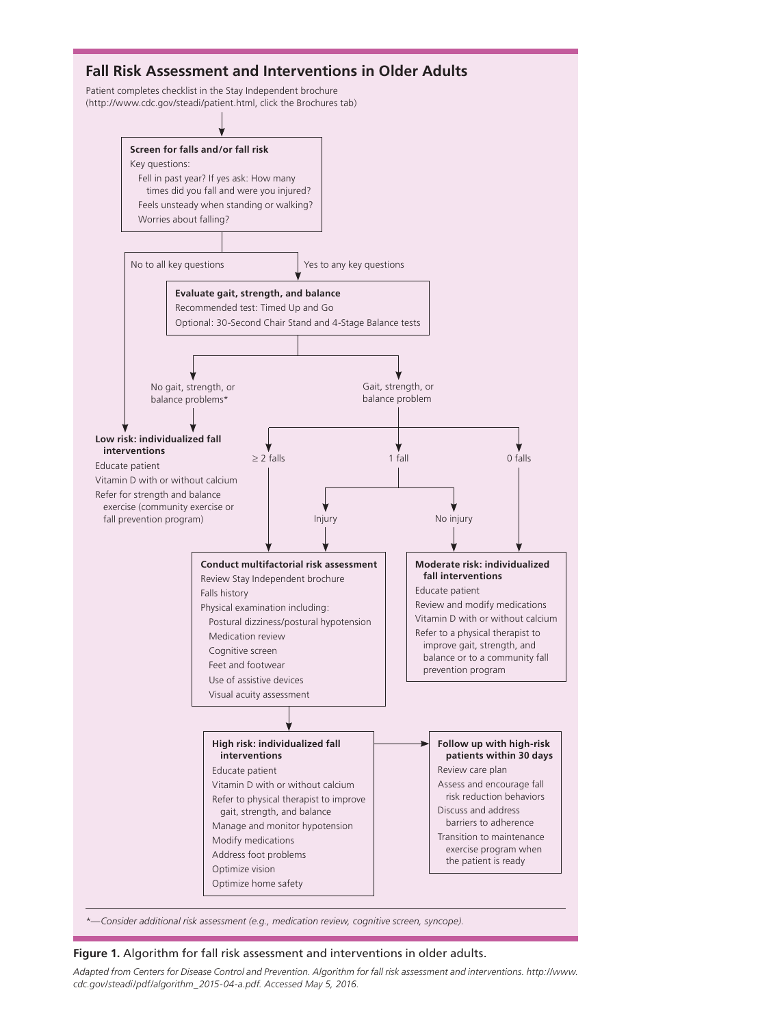

**Figure 1.** Algorithm for fall risk assessment and interventions in older adults.

*Adapted from Centers for Disease Control and Prevention. Algorithm for fall risk assessment and interventions. http://www. cdc.gov/steadi/pdf/algorithm\_2015-04-a.pdf. Accessed May 5, 2016.*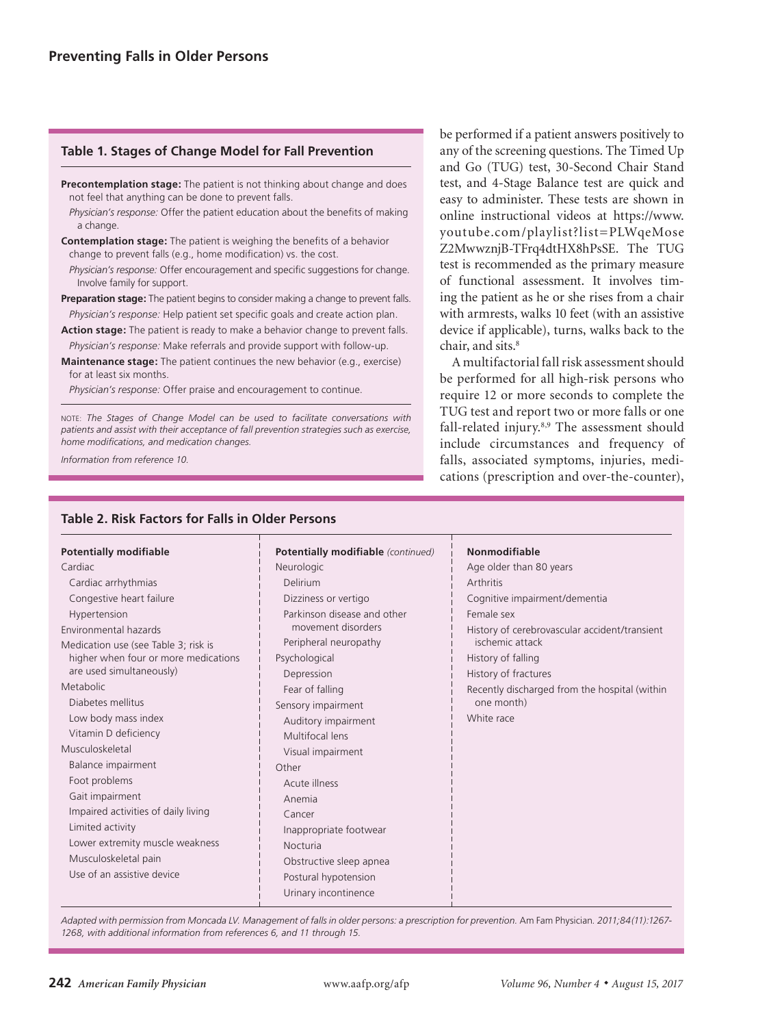## **Table 1. Stages of Change Model for Fall Prevention**

- **Precontemplation stage:** The patient is not thinking about change and does not feel that anything can be done to prevent falls.
- *Physician's response:* Offer the patient education about the benefits of making a change.
- **Contemplation stage:** The patient is weighing the benefits of a behavior change to prevent falls (e.g., home modification) vs. the cost.
	- *Physician's response:* Offer encouragement and specific suggestions for change. Involve family for support.
- **Preparation stage:** The patient begins to consider making a change to prevent falls. *Physician's response:* Help patient set specific goals and create action plan.
- **Action stage:** The patient is ready to make a behavior change to prevent falls. *Physician's response:* Make referrals and provide support with follow-up.
- **Maintenance stage:** The patient continues the new behavior (e.g., exercise) for at least six months.

*Physician's response:* Offer praise and encouragement to continue.

**Table 2. Risk Factors for Falls in Older Persons**

NOTE: *The Stages of Change Model can be used to facilitate conversations with patients and assist with their acceptance of fall prevention strategies such as exercise, home modifications, and medication changes.*

*Information from reference 10.*

be performed if a patient answers positively to any of the screening questions. The Timed Up and Go (TUG) test, 30-Second Chair Stand test, and 4-Stage Balance test are quick and easy to administer. These tests are shown in online instructional videos at https://www. youtube.com/playlist?list=PLWqeMose Z2MwwznjB-TFrq4dtHX8hPsSE. The TUG test is recommended as the primary measure of functional assessment. It involves timing the patient as he or she rises from a chair with armrests, walks 10 feet (with an assistive device if applicable), turns, walks back to the chair, and sits.<sup>8</sup>

A multifactorial fall risk assessment should be performed for all high-risk persons who require 12 or more seconds to complete the TUG test and report two or more falls or one fall-related injury.8,9 The assessment should include circumstances and frequency of falls, associated symptoms, injuries, medications (prescription and over-the-counter),

| <b>Potentially modifiable</b>        | Potentially modifiable (continued) | <b>Nonmodifiable</b>                          |
|--------------------------------------|------------------------------------|-----------------------------------------------|
| Cardiac                              | Neurologic                         | Age older than 80 years                       |
| Cardiac arrhythmias                  | Delirium                           | Arthritis                                     |
| Congestive heart failure             | Dizziness or vertigo               | Cognitive impairment/dementia                 |
| Hypertension                         | Parkinson disease and other        | Female sex                                    |
| Environmental hazards                | movement disorders                 | History of cerebrovascular accident/transient |
| Medication use (see Table 3; risk is | Peripheral neuropathy              | ischemic attack                               |
| higher when four or more medications | Psychological                      | History of falling                            |
| are used simultaneously)             | Depression                         | History of fractures                          |
| Metabolic                            | Fear of falling                    | Recently discharged from the hospital (within |
| Diabetes mellitus                    | Sensory impairment                 | one month)                                    |
| Low body mass index                  | Auditory impairment                | White race                                    |
| Vitamin D deficiency                 | Multifocal lens                    |                                               |
| Musculoskeletal                      | Visual impairment                  |                                               |
| Balance impairment                   | Other                              |                                               |
| Foot problems                        | Acute illness                      |                                               |
| Gait impairment                      | Anemia                             |                                               |
| Impaired activities of daily living  | Cancer                             |                                               |
| Limited activity                     | Inappropriate footwear             |                                               |
| Lower extremity muscle weakness      | Nocturia                           |                                               |
| Musculoskeletal pain                 | Obstructive sleep apnea            |                                               |
| Use of an assistive device           | Postural hypotension               |                                               |
|                                      | Urinary incontinence               |                                               |

*Adapted with permission from Moncada LV. Management of falls in older persons: a prescription for prevention.* Am Fam Physician*. 2011;84(11):1267- 1268, with additional information from references 6, and 11 through 15.*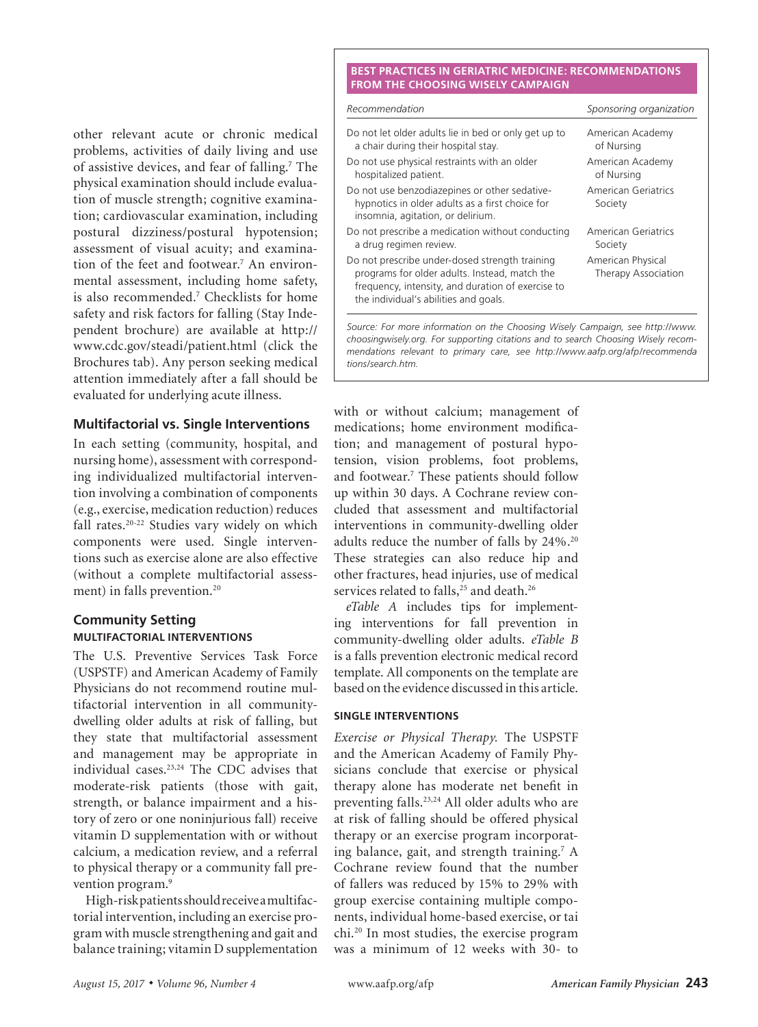other relevant acute or chronic medical problems, activities of daily living and use of assistive devices, and fear of falling.<sup>7</sup> The physical examination should include evaluation of muscle strength; cognitive examination; cardiovascular examination, including postural dizziness/postural hypotension; assessment of visual acuity; and examination of the feet and footwear.<sup>7</sup> An environmental assessment, including home safety, is also recommended.7 Checklists for home safety and risk factors for falling (Stay Independent brochure) are available at http:// www.cdc.gov/steadi/patient.html (click the Brochures tab). Any person seeking medical attention immediately after a fall should be evaluated for underlying acute illness.

## **Multifactorial vs. Single Interventions**

In each setting (community, hospital, and nursing home), assessment with corresponding individualized multifactorial intervention involving a combination of components (e.g., exercise, medication reduction) reduces fall rates.20-22 Studies vary widely on which components were used. Single interventions such as exercise alone are also effective (without a complete multifactorial assessment) in falls prevention.<sup>20</sup>

## **Community Setting MULTIFACTORIAL INTERVENTIONS**

The U.S. Preventive Services Task Force (USPSTF) and American Academy of Family Physicians do not recommend routine multifactorial intervention in all communitydwelling older adults at risk of falling, but they state that multifactorial assessment and management may be appropriate in individual cases.23,24 The CDC advises that moderate-risk patients (those with gait, strength, or balance impairment and a history of zero or one noninjurious fall) receive vitamin D supplementation with or without calcium, a medication review, and a referral to physical therapy or a community fall prevention program.<sup>9</sup>

High-risk patients should receive a multifactorial intervention, including an exercise program with muscle strengthening and gait and balance training; vitamin D supplementation

#### **BEST PRACTICES IN GERIATRIC MEDICINE: RECOMMENDATIONS FROM THE CHOOSING WISELY CAMPAIGN**

**Preventing Falls in Older Persons**

| Recommendation                                                                                                                                                                                | Sponsoring organization                         |  |
|-----------------------------------------------------------------------------------------------------------------------------------------------------------------------------------------------|-------------------------------------------------|--|
| Do not let older adults lie in bed or only get up to<br>a chair during their hospital stay.                                                                                                   | American Academy<br>of Nursing                  |  |
| Do not use physical restraints with an older<br>hospitalized patient.                                                                                                                         | American Academy<br>of Nursing                  |  |
| Do not use benzodiazepines or other sedative-<br>hypnotics in older adults as a first choice for<br>insomnia, agitation, or delirium.                                                         | American Geriatrics<br>Society                  |  |
| Do not prescribe a medication without conducting<br>a drug regimen review.                                                                                                                    | American Geriatrics<br>Society                  |  |
| Do not prescribe under-dosed strength training<br>programs for older adults. Instead, match the<br>frequency, intensity, and duration of exercise to<br>the individual's abilities and goals. | American Physical<br><b>Therapy Association</b> |  |
|                                                                                                                                                                                               |                                                 |  |

*Source: For more information on the Choosing Wisely Campaign, see http://www. choosingwisely.org. For supporting citations and to search Choosing Wisely recommendations relevant to primary care, see http://www.aafp.org/afp/recommenda tions/search.htm.*

with or without calcium; management of medications; home environment modification; and management of postural hypotension, vision problems, foot problems, and footwear.7 These patients should follow up within 30 days. A Cochrane review concluded that assessment and multifactorial interventions in community-dwelling older adults reduce the number of falls by 24%.20 These strategies can also reduce hip and other fractures, head injuries, use of medical services related to falls,<sup>25</sup> and death.<sup>26</sup>

*eTable A* includes tips for implementing interventions for fall prevention in community-dwelling older adults. *eTable B* is a falls prevention electronic medical record template. All components on the template are based on the evidence discussed in this article.

## **SINGLE INTERVENTIONS**

*Exercise or Physical Therapy.* The USPSTF and the American Academy of Family Physicians conclude that exercise or physical therapy alone has moderate net benefit in preventing falls.23,24 All older adults who are at risk of falling should be offered physical therapy or an exercise program incorporating balance, gait, and strength training.<sup>7</sup> A Cochrane review found that the number of fallers was reduced by 15% to 29% with group exercise containing multiple components, individual home-based exercise, or tai chi.20 In most studies, the exercise program was a minimum of 12 weeks with 30- to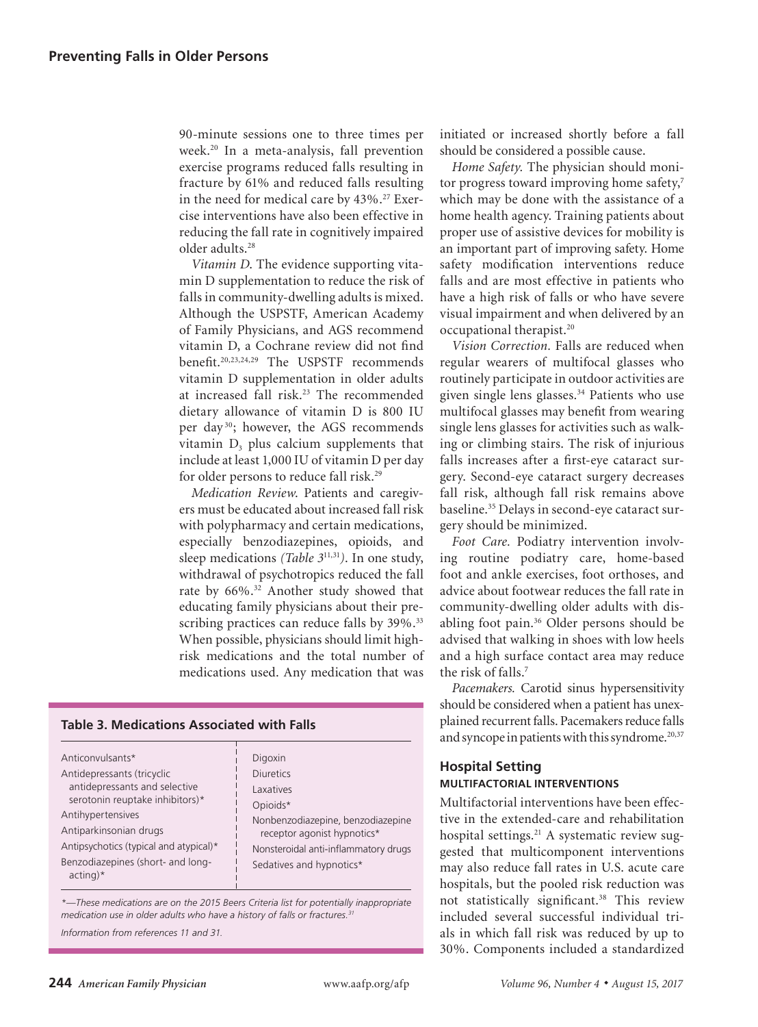90-minute sessions one to three times per week.20 In a meta-analysis, fall prevention exercise programs reduced falls resulting in fracture by 61% and reduced falls resulting in the need for medical care by 43%.<sup>27</sup> Exercise interventions have also been effective in reducing the fall rate in cognitively impaired older adults.28

*Vitamin D*. The evidence supporting vitamin D supplementation to reduce the risk of falls in community-dwelling adults is mixed. Although the USPSTF, American Academy of Family Physicians, and AGS recommend vitamin D, a Cochrane review did not find benefit.20,23,24,29 The USPSTF recommends vitamin D supplementation in older adults at increased fall risk.<sup>23</sup> The recommended dietary allowance of vitamin D is 800 IU per day 30; however, the AGS recommends vitamin  $D_3$  plus calcium supplements that include at least 1,000 IU of vitamin D per day for older persons to reduce fall risk.<sup>29</sup>

*Medication Review*. Patients and caregivers must be educated about increased fall risk with polypharmacy and certain medications, especially benzodiazepines, opioids, and sleep medications *(Table 3*11,31*)*. In one study, withdrawal of psychotropics reduced the fall rate by 66%.32 Another study showed that educating family physicians about their prescribing practices can reduce falls by 39%.<sup>33</sup> When possible, physicians should limit highrisk medications and the total number of medications used. Any medication that was

## **Table 3. Medications Associated with Falls**

| Anticonvulsants*                                                                                                                                                                                                             | Digoxin                                                                      |  |
|------------------------------------------------------------------------------------------------------------------------------------------------------------------------------------------------------------------------------|------------------------------------------------------------------------------|--|
| Antidepressants (tricyclic<br>antidepressants and selective<br>serotonin reuptake inhibitors)*<br>Antihypertensives<br>Antiparkinsonian drugs<br>Antipsychotics (typical and atypical)*<br>Benzodiazepines (short- and long- | <b>Diuretics</b><br>Laxatives                                                |  |
|                                                                                                                                                                                                                              | Opioids*<br>Nonbenzodiazepine, benzodiazepine<br>receptor agonist hypnotics* |  |
|                                                                                                                                                                                                                              | Nonsteroidal anti-inflammatory drugs<br>Sedatives and hypnotics*             |  |
| $acting)*$                                                                                                                                                                                                                   |                                                                              |  |

*\*—These medications are on the 2015 Beers Criteria list for potentially inappropriate medication use in older adults who have a history of falls or fractures.31*

*Information from references 11 and 31.*

initiated or increased shortly before a fall should be considered a possible cause.

*Home Safety.* The physician should monitor progress toward improving home safety,<sup>7</sup> which may be done with the assistance of a home health agency. Training patients about proper use of assistive devices for mobility is an important part of improving safety. Home safety modification interventions reduce falls and are most effective in patients who have a high risk of falls or who have severe visual impairment and when delivered by an occupational therapist.20

*Vision Correction.* Falls are reduced when regular wearers of multifocal glasses who routinely participate in outdoor activities are given single lens glasses.34 Patients who use multifocal glasses may benefit from wearing single lens glasses for activities such as walking or climbing stairs. The risk of injurious falls increases after a first-eye cataract surgery. Second-eye cataract surgery decreases fall risk, although fall risk remains above baseline.35 Delays in second-eye cataract surgery should be minimized.

*Foot Care.* Podiatry intervention involving routine podiatry care, home-based foot and ankle exercises, foot orthoses, and advice about footwear reduces the fall rate in community-dwelling older adults with disabling foot pain.36 Older persons should be advised that walking in shoes with low heels and a high surface contact area may reduce the risk of falls.7

*Pacemakers.* Carotid sinus hypersensitivity should be considered when a patient has unexplained recurrent falls. Pacemakers reduce falls and syncope in patients with this syndrome. $20,37$ 

## **Hospital Setting MULTIFACTORIAL INTERVENTIONS**

Multifactorial interventions have been effective in the extended-care and rehabilitation hospital settings.<sup>21</sup> A systematic review suggested that multicomponent interventions may also reduce fall rates in U.S. acute care hospitals, but the pooled risk reduction was not statistically significant.38 This review included several successful individual trials in which fall risk was reduced by up to 30%. Components included a standardized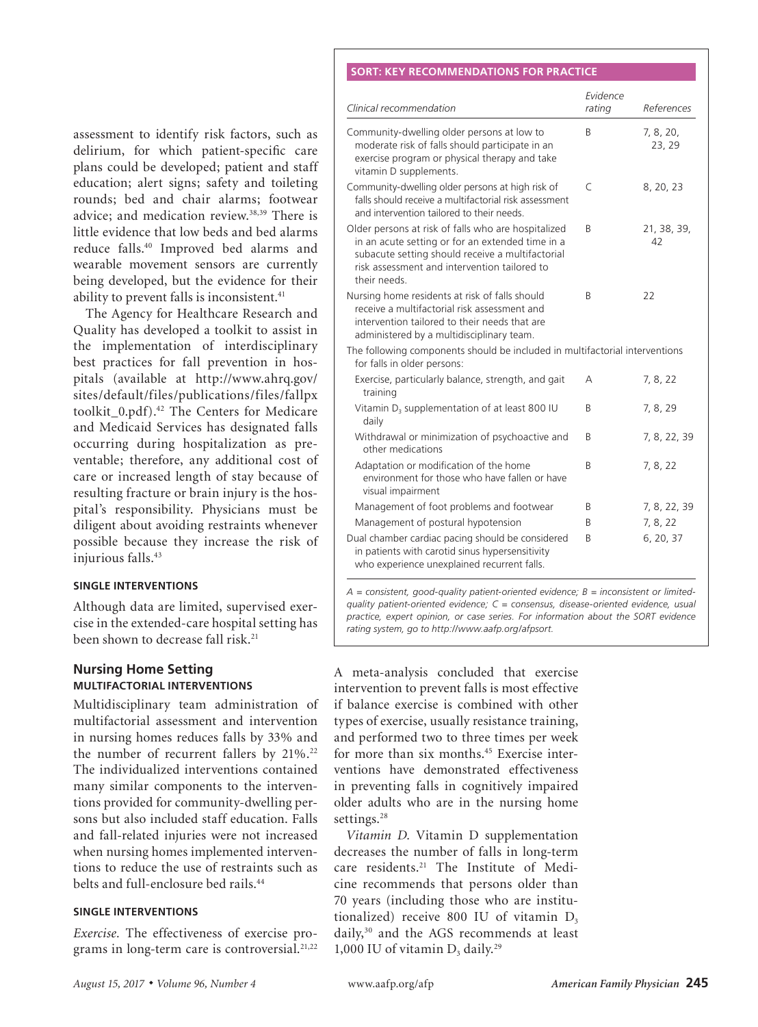#### **SORT: KEY RECOMMENDATIONS FOR PRACTICE**

**Preventing Falls in Older Persons**

assessment to identify risk factors, such as delirium, for which patient-specific care plans could be developed; patient and staff education; alert signs; safety and toileting rounds; bed and chair alarms; footwear advice; and medication review.<sup>38,39</sup> There is little evidence that low beds and bed alarms reduce falls.40 Improved bed alarms and wearable movement sensors are currently being developed, but the evidence for their ability to prevent falls is inconsistent.<sup>41</sup>

The Agency for Healthcare Research and Quality has developed a toolkit to assist in the implementation of interdisciplinary best practices for fall prevention in hospitals (available at http://www.ahrq.gov/ sites/default/files/publications/files/fallpx toolkit\_0.pdf).42 The Centers for Medicare and Medicaid Services has designated falls occurring during hospitalization as preventable; therefore, any additional cost of care or increased length of stay because of resulting fracture or brain injury is the hospital's responsibility. Physicians must be diligent about avoiding restraints whenever possible because they increase the risk of injurious falls.<sup>43</sup>

### **SINGLE INTERVENTIONS**

Although data are limited, supervised exercise in the extended-care hospital setting has been shown to decrease fall risk.<sup>21</sup>

## **Nursing Home Setting MULTIFACTORIAL INTERVENTIONS**

Multidisciplinary team administration of multifactorial assessment and intervention in nursing homes reduces falls by 33% and the number of recurrent fallers by  $21\%$ .<sup>22</sup> The individualized interventions contained many similar components to the interventions provided for community-dwelling persons but also included staff education. Falls and fall-related injuries were not increased when nursing homes implemented interventions to reduce the use of restraints such as belts and full-enclosure bed rails.44

#### **SINGLE INTERVENTIONS**

*Exercise.* The effectiveness of exercise programs in long-term care is controversial.<sup>21,22</sup>

| Clinical recommendation                                                                                                                                                                                                     | Evidence<br>rating | References          |
|-----------------------------------------------------------------------------------------------------------------------------------------------------------------------------------------------------------------------------|--------------------|---------------------|
| Community-dwelling older persons at low to<br>moderate risk of falls should participate in an<br>exercise program or physical therapy and take<br>vitamin D supplements.                                                    | B                  | 7, 8, 20,<br>23, 29 |
| Community-dwelling older persons at high risk of<br>falls should receive a multifactorial risk assessment<br>and intervention tailored to their needs.                                                                      | C                  | 8, 20, 23           |
| Older persons at risk of falls who are hospitalized<br>in an acute setting or for an extended time in a<br>subacute setting should receive a multifactorial<br>risk assessment and intervention tailored to<br>their needs. | B                  | 21, 38, 39,<br>42   |
| Nursing home residents at risk of falls should<br>receive a multifactorial risk assessment and<br>intervention tailored to their needs that are<br>administered by a multidisciplinary team.                                | R                  | 22                  |
| The following components should be included in multifactorial interventions<br>for falls in older persons:                                                                                                                  |                    |                     |
| Exercise, particularly balance, strength, and gait<br>training                                                                                                                                                              | А                  | 7, 8, 22            |
| Vitamin $D_3$ supplementation of at least 800 IU<br>daily                                                                                                                                                                   | B                  | 7, 8, 29            |
| Withdrawal or minimization of psychoactive and<br>other medications                                                                                                                                                         | B                  | 7, 8, 22, 39        |
| Adaptation or modification of the home<br>environment for those who have fallen or have<br>visual impairment                                                                                                                | R                  | 7, 8, 22            |
| Management of foot problems and footwear                                                                                                                                                                                    | B                  | 7, 8, 22, 39        |
| Management of postural hypotension                                                                                                                                                                                          | R                  | 7, 8, 22            |
| Dual chamber cardiac pacing should be considered<br>in patients with carotid sinus hypersensitivity<br>who experience unexplained recurrent falls.                                                                          | B                  | 6, 20, 37           |

*A = consistent, good-quality patient-oriented evidence; B = inconsistent or limitedquality patient-oriented evidence; C = consensus, disease-oriented evidence, usual practice, expert opinion, or case series. For information about the SORT evidence rating system, go to http://www.aafp.org/afpsort.*

A meta-analysis concluded that exercise intervention to prevent falls is most effective if balance exercise is combined with other types of exercise, usually resistance training, and performed two to three times per week for more than six months.<sup>45</sup> Exercise interventions have demonstrated effectiveness in preventing falls in cognitively impaired older adults who are in the nursing home settings.<sup>28</sup>

*Vitamin D.* Vitamin D supplementation decreases the number of falls in long-term care residents.21 The Institute of Medicine recommends that persons older than 70 years (including those who are institutionalized) receive 800 IU of vitamin  $D_3$ daily,30 and the AGS recommends at least 1,000 IU of vitamin  $D_3$  daily.<sup>29</sup>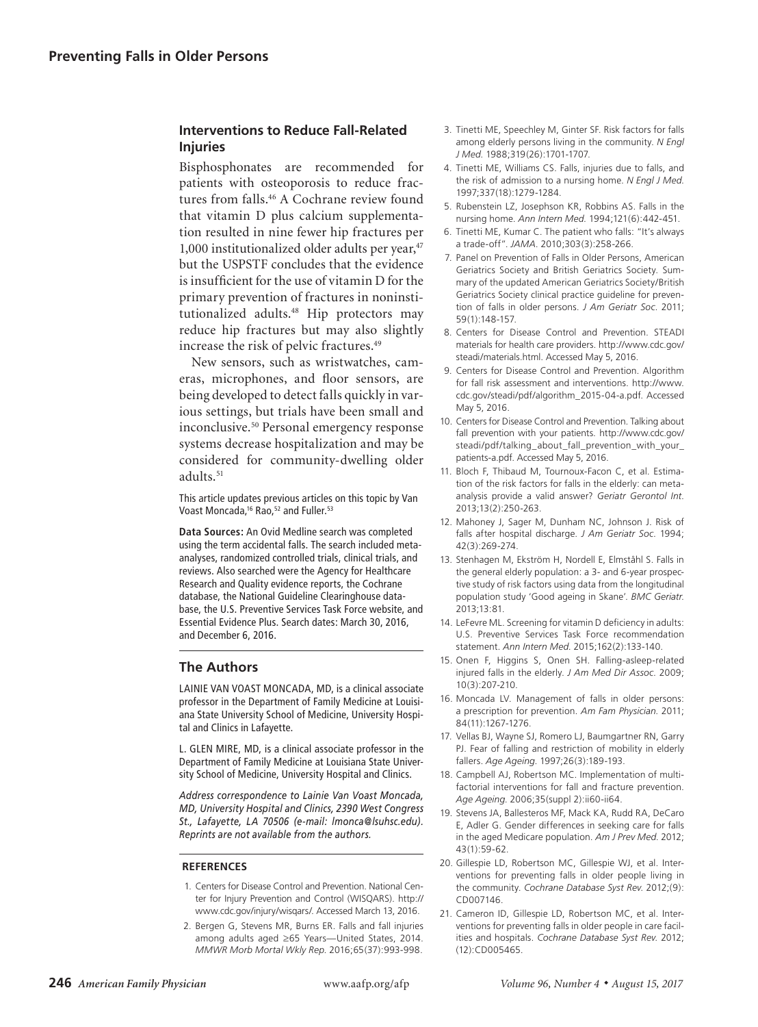# **Interventions to Reduce Fall-Related Injuries**

Bisphosphonates are recommended for patients with osteoporosis to reduce fractures from falls.<sup>46</sup> A Cochrane review found that vitamin D plus calcium supplementation resulted in nine fewer hip fractures per 1,000 institutionalized older adults per year, $47$ but the USPSTF concludes that the evidence is insufficient for the use of vitamin D for the primary prevention of fractures in noninstitutionalized adults.48 Hip protectors may reduce hip fractures but may also slightly increase the risk of pelvic fractures.49

New sensors, such as wristwatches, cameras, microphones, and floor sensors, are being developed to detect falls quickly in various settings, but trials have been small and inconclusive.<sup>50</sup> Personal emergency response systems decrease hospitalization and may be considered for community-dwelling older adults.<sup>51</sup>

This article updates previous articles on this topic by Van Voast Moncada,<sup>16</sup> Rao,<sup>52</sup> and Fuller.<sup>53</sup>

**Data Sources:** An Ovid Medline search was completed using the term accidental falls. The search included metaanalyses, randomized controlled trials, clinical trials, and reviews. Also searched were the Agency for Healthcare Research and Quality evidence reports, the Cochrane database, the National Guideline Clearinghouse database, the U.S. Preventive Services Task Force website, and Essential Evidence Plus. Search dates: March 30, 2016, and December 6, 2016.

## **The Authors**

LAINIE VAN VOAST MONCADA, MD, is a clinical associate professor in the Department of Family Medicine at Louisiana State University School of Medicine, University Hospital and Clinics in Lafayette.

L. GLEN MIRE, MD, is a clinical associate professor in the Department of Family Medicine at Louisiana State University School of Medicine, University Hospital and Clinics.

*Address correspondence to Lainie Van Voast Moncada, MD, University Hospital and Clinics, 2390 West Congress St., Lafayette, LA 70506 (e-mail: lmonca@lsuhsc.edu). Reprints are not available from the authors.* 

### **REFERENCES**

- 1. Centers for Disease Control and Prevention. National Center for Injury Prevention and Control (WISQARS). http:// www.cdc.gov/injury/wisqars/. Accessed March 13, 2016.
- 2. Bergen G, Stevens MR, Burns ER. Falls and fall injuries among adults aged ≥65 Years—United States, 2014. *MMWR Morb Mortal Wkly Rep*. 2016;65(37):993-998.
- 3. Tinetti ME, Speechley M, Ginter SF. Risk factors for falls among elderly persons living in the community. *N Engl J Med*. 1988;319(26):1701-1707.
- 4. Tinetti ME, Williams CS. Falls, injuries due to falls, and the risk of admission to a nursing home. *N Engl J Med*. 1997;337(18):1279-1284.
- 5. Rubenstein LZ, Josephson KR, Robbins AS. Falls in the nursing home. *Ann Intern Med*. 1994;121(6):442-451.
- 6. Tinetti ME, Kumar C. The patient who falls: "It's always a trade-off". *JAMA*. 2010;303(3):258-266.
- 7. Panel on Prevention of Falls in Older Persons, American Geriatrics Society and British Geriatrics Society. Summary of the updated American Geriatrics Society/British Geriatrics Society clinical practice guideline for prevention of falls in older persons. *J Am Geriatr Soc*. 2011; 59(1):148-157.
- 8. Centers for Disease Control and Prevention. STEADI materials for health care providers. http://www.cdc.gov/ steadi/materials.html. Accessed May 5, 2016.
- 9. Centers for Disease Control and Prevention. Algorithm for fall risk assessment and interventions. http://www. cdc.gov/steadi/pdf/algorithm\_2015-04-a.pdf. Accessed May 5, 2016.
- 10. Centers for Disease Control and Prevention. Talking about fall prevention with your patients. http://www.cdc.gov/ steadi/pdf/talking\_about\_fall\_prevention\_with\_your\_ patients-a.pdf. Accessed May 5, 2016.
- 11. Bloch F, Thibaud M, Tournoux-Facon C, et al. Estimation of the risk factors for falls in the elderly: can metaanalysis provide a valid answer? *Geriatr Gerontol Int*. 2013;13(2):250-263.
- 12. Mahoney J, Sager M, Dunham NC, Johnson J. Risk of falls after hospital discharge. *J Am Geriatr Soc*. 1994; 42(3):269-274.
- 13. Stenhagen M, Ekström H, Nordell E, Elmståhl S. Falls in the general elderly population: a 3- and 6-year prospective study of risk factors using data from the longitudinal population study 'Good ageing in Skane'. *BMC Geriatr*. 2013;13:81.
- 14. LeFevre ML. Screening for vitamin D deficiency in adults: U.S. Preventive Services Task Force recommendation statement. *Ann Intern Med*. 2015;162(2):133-140.
- 15. Onen F, Higgins S, Onen SH. Falling-asleep-related injured falls in the elderly. *J Am Med Dir Assoc*. 2009; 10(3):207-210.
- 16. Moncada LV. Management of falls in older persons: a prescription for prevention. *Am Fam Physician*. 2011; 84(11):1267-1276.
- 17. Vellas BJ, Wayne SJ, Romero LJ, Baumgartner RN, Garry PJ. Fear of falling and restriction of mobility in elderly fallers. *Age Ageing*. 1997;26(3):189-193.
- 18. Campbell AJ, Robertson MC. Implementation of multifactorial interventions for fall and fracture prevention. *Age Ageing*. 2006;35(suppl 2):ii60-ii64.
- 19. Stevens JA, Ballesteros MF, Mack KA, Rudd RA, DeCaro E, Adler G. Gender differences in seeking care for falls in the aged Medicare population. *Am J Prev Med*. 2012; 43(1):59-62.
- 20. Gillespie LD, Robertson MC, Gillespie WJ, et al. Interventions for preventing falls in older people living in the community. *Cochrane Database Syst Rev*. 2012;(9): CD007146.
- 21. Cameron ID, Gillespie LD, Robertson MC, et al. Interventions for preventing falls in older people in care facilities and hospitals. *Cochrane Database Syst Rev*. 2012; (12):CD005465.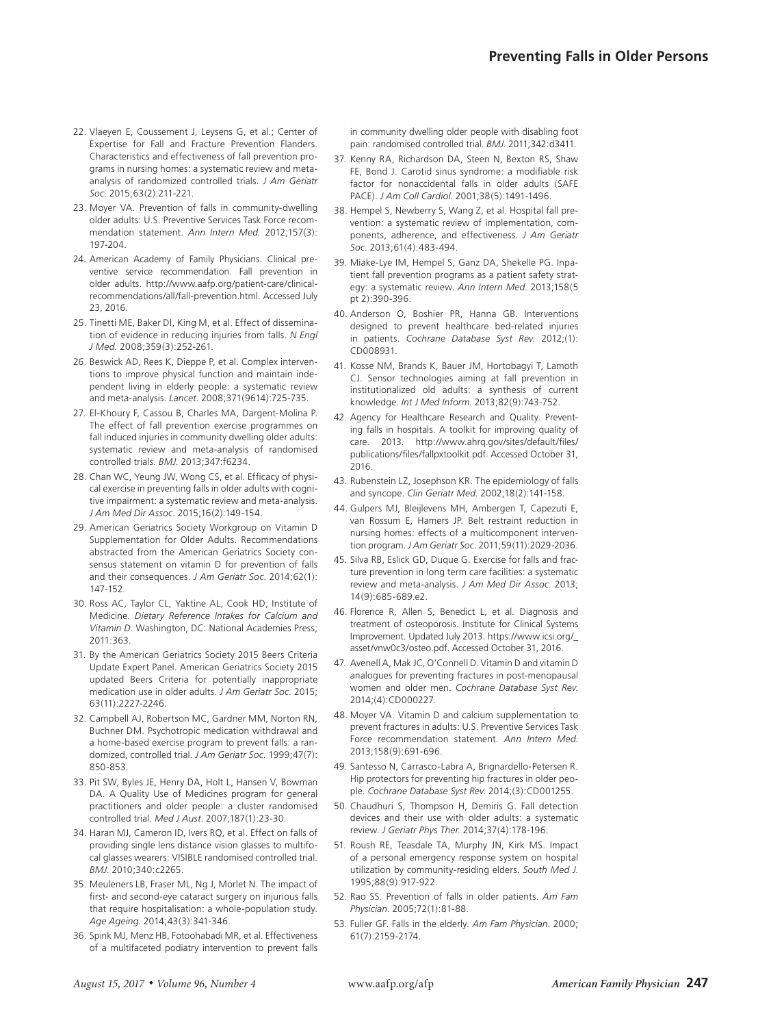- 22. Vlaeyen E, Coussement J, Leysens G, et al.; Center of Expertise for Fall and Fracture Prevention Flanders. Characteristics and effectiveness of fall prevention programs in nursing homes: a systematic review and metaanalysis of randomized controlled trials. *J Am Geriatr Soc*. 2015;63(2):211-221.
- 23. Moyer VA. Prevention of falls in community-dwelling older adults: U.S. Preventive Services Task Force recommendation statement. *Ann Intern Med*. 2012;157(3): 197-204.
- 24. American Academy of Family Physicians. Clinical preventive service recommendation. Fall prevention in older adults. http://www.aafp.org/patient-care/clinicalrecommendations/all/fall-prevention.html. Accessed July 23, 2016.
- 25. Tinetti ME, Baker DI, King M, et al. Effect of dissemination of evidence in reducing injuries from falls. *N Engl J Med*. 2008;359(3):252-261.
- 26. Beswick AD, Rees K, Dieppe P, et al. Complex interventions to improve physical function and maintain independent living in elderly people: a systematic review and meta-analysis. *Lancet*. 2008;371(9614):725-735.
- 27. El-Khoury F, Cassou B, Charles MA, Dargent-Molina P. The effect of fall prevention exercise programmes on fall induced injuries in community dwelling older adults: systematic review and meta-analysis of randomised controlled trials. *BMJ*. 2013;347:f6234.
- 28. Chan WC, Yeung JW, Wong CS, et al. Efficacy of physical exercise in preventing falls in older adults with cognitive impairment: a systematic review and meta-analysis. *J Am Med Dir Assoc*. 2015;16(2):149-154.
- 29. American Geriatrics Society Workgroup on Vitamin D Supplementation for Older Adults. Recommendations abstracted from the American Geriatrics Society consensus statement on vitamin D for prevention of falls and their consequences. *J Am Geriatr Soc*. 2014;62(1): 147-152.
- 30. Ross AC, Taylor CL, Yaktine AL, Cook HD; Institute of Medicine. *Dietary Reference Intakes for Calcium and Vitamin D.* Washington, DC: National Academies Press; 2011:363.
- 31. By the American Geriatrics Society 2015 Beers Criteria Update Expert Panel. American Geriatrics Society 2015 updated Beers Criteria for potentially inappropriate medication use in older adults. *J Am Geriatr Soc*. 2015; 63(11):2227-2246.
- 32. Campbell AJ, Robertson MC, Gardner MM, Norton RN, Buchner DM. Psychotropic medication withdrawal and a home-based exercise program to prevent falls: a randomized, controlled trial. *J Am Geriatr Soc*. 1999;47(7): 850-853.
- 33. Pit SW, Byles JE, Henry DA, Holt L, Hansen V, Bowman DA. A Quality Use of Medicines program for general practitioners and older people: a cluster randomised controlled trial. *Med J Aust*. 2007;187(1):23-30.
- 34. Haran MJ, Cameron ID, Ivers RQ, et al. Effect on falls of providing single lens distance vision glasses to multifocal glasses wearers: VISIBLE randomised controlled trial. *BMJ*. 2010;340:c2265.
- 35. Meuleners LB, Fraser ML, Ng J, Morlet N. The impact of first- and second-eye cataract surgery on injurious falls that require hospitalisation: a whole-population study. *Age Ageing*. 2014;43(3):341-346.
- 36. Spink MJ, Menz HB, Fotoohabadi MR, et al. Effectiveness of a multifaceted podiatry intervention to prevent falls

in community dwelling older people with disabling foot pain: randomised controlled trial. *BMJ*. 2011;342:d3411.

- 37. Kenny RA, Richardson DA, Steen N, Bexton RS, Shaw FE, Bond J. Carotid sinus syndrome: a modifiable risk factor for nonaccidental falls in older adults (SAFE PACE). *J Am Coll Cardiol*. 2001;38(5):1491-1496.
- 38. Hempel S, Newberry S, Wang Z, et al. Hospital fall prevention: a systematic review of implementation, components, adherence, and effectiveness. *J Am Geriatr Soc*. 2013;61(4):483-494.
- 39. Miake-Lye IM, Hempel S, Ganz DA, Shekelle PG. Inpatient fall prevention programs as a patient safety strategy: a systematic review. *Ann Intern Med*. 2013;158(5 pt 2):390-396.
- 40. Anderson O, Boshier PR, Hanna GB. Interventions designed to prevent healthcare bed-related injuries in patients. *Cochrane Database Syst Rev*. 2012;(1): CD008931.
- 41. Kosse NM, Brands K, Bauer JM, Hortobagyi T, Lamoth CJ. Sensor technologies aiming at fall prevention in institutionalized old adults: a synthesis of current knowledge. *Int J Med Inform*. 2013;82(9):743-752.
- 42. Agency for Healthcare Research and Quality. Preventing falls in hospitals. A toolkit for improving quality of care. 2013. http://www.ahrq.gov/sites/default/files/ publications/files/fallpxtoolkit.pdf. Accessed October 31, 2016.
- 43. Rubenstein LZ, Josephson KR. The epidemiology of falls and syncope. *Clin Geriatr Med*. 2002;18(2):141-158.
- 44. Gulpers MJ, Bleijlevens MH, Ambergen T, Capezuti E, van Rossum E, Hamers JP. Belt restraint reduction in nursing homes: effects of a multicomponent intervention program. *J Am Geriatr Soc*. 2011;59(11):2029-2036.
- 45. Silva RB, Eslick GD, Duque G. Exercise for falls and fracture prevention in long term care facilities: a systematic review and meta-analysis. *J Am Med Dir Assoc*. 2013; 14(9):685-689.e2.
- 46. Florence R, Allen S, Benedict L, et al. Diagnosis and treatment of osteoporosis. Institute for Clinical Systems Improvement. Updated July 2013. https://www.icsi.org/\_ asset/vnw0c3/osteo.pdf. Accessed October 31, 2016.
- 47. Avenell A, Mak JC, O'Connell D. Vitamin D and vitamin D analogues for preventing fractures in post-menopausal women and older men. *Cochrane Database Syst Rev*. 2014;(4):CD000227.
- 48. Moyer VA. Vitamin D and calcium supplementation to prevent fractures in adults: U.S. Preventive Services Task Force recommendation statement. *Ann Intern Med*. 2013;158(9):691-696.
- 49. Santesso N, Carrasco-Labra A, Brignardello-Petersen R. Hip protectors for preventing hip fractures in older people. *Cochrane Database Syst Rev*. 2014;(3):CD001255.
- 50. Chaudhuri S, Thompson H, Demiris G. Fall detection devices and their use with older adults: a systematic review. *J Geriatr Phys Ther*. 2014;37(4):178-196.
- 51. Roush RE, Teasdale TA, Murphy JN, Kirk MS. Impact of a personal emergency response system on hospital utilization by community-residing elders. *South Med J*. 1995;88(9):917-922.
- 52. Rao SS. Prevention of falls in older patients. *Am Fam Physician*. 2005;72(1):81-88.
- 53. Fuller GF. Falls in the elderly. *Am Fam Physician*. 2000; 61(7):2159-2174.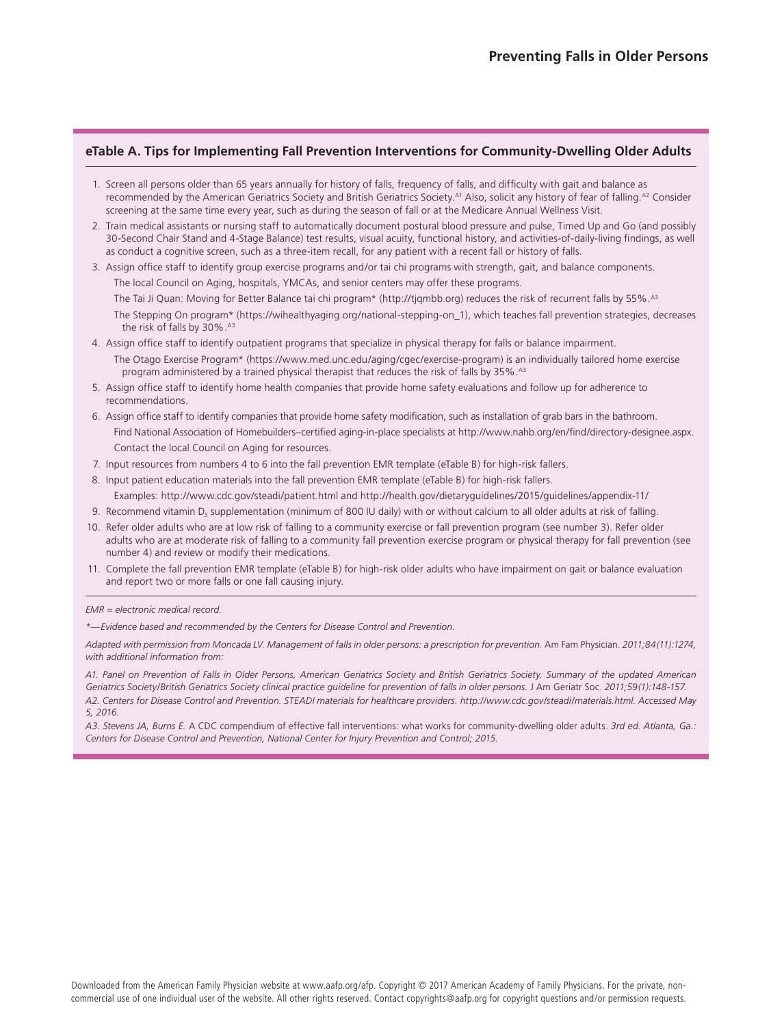## **eTable A. Tips for Implementing Fall Prevention Interventions for Community-Dwelling Older Adults**

- 1. Screen all persons older than 65 years annually for history of falls, frequency of falls, and difficulty with gait and balance as recommended by the American Geriatrics Society and British Geriatrics Society.<sup>A1</sup> Also, solicit any history of fear of falling.<sup>A2</sup> Consider screening at the same time every year, such as during the season of fall or at the Medicare Annual Wellness Visit.
- 2. Train medical assistants or nursing staff to automatically document postural blood pressure and pulse, Timed Up and Go (and possibly 30-Second Chair Stand and 4-Stage Balance) test results, visual acuity, functional history, and activities-of-daily-living findings, as well as conduct a cognitive screen, such as a three-item recall, for any patient with a recent fall or history of falls.
- 3. Assign office staff to identify group exercise programs and/or tai chi programs with strength, gait, and balance components. The local Council on Aging, hospitals, YMCAs, and senior centers may offer these programs.

The Tai Ji Quan: Moving for Better Balance tai chi program\* (http://tjqmbb.org) reduces the risk of recurrent falls by 55%.<sup>A3</sup>

- The Stepping On program\* (https://wihealthyaging.org/national-stepping-on\_1), which teaches fall prevention strategies, decreases the risk of falls by 30%. A3
- 4. Assign office staff to identify outpatient programs that specialize in physical therapy for falls or balance impairment. The Otago Exercise Program\* (https://www.med.unc.edu/aging/cgec/exercise-program) is an individually tailored home exercise program administered by a trained physical therapist that reduces the risk of falls by 35%.<sup>A3</sup>
- 5. Assign office staff to identify home health companies that provide home safety evaluations and follow up for adherence to recommendations.
- 6. Assign office staff to identify companies that provide home safety modification, such as installation of grab bars in the bathroom. Find National Association of Homebuilders–certified aging-in-place specialists at http://www.nahb.org/en/find/directory-designee.aspx. Contact the local Council on Aging for resources.
- 7. Input resources from numbers 4 to 6 into the fall prevention EMR template (eTable B) for high-risk fallers.
- 8. Input patient education materials into the fall prevention EMR template (eTable B) for high-risk fallers. Examples: http://www.cdc.gov/steadi/patient.html and http://health.gov/dietaryguidelines/2015/guidelines/appendix-11/
- 9. Recommend vitamin D<sub>3</sub> supplementation (minimum of 800 IU daily) with or without calcium to all older adults at risk of falling.
- 10. Refer older adults who are at low risk of falling to a community exercise or fall prevention program (see number 3). Refer older adults who are at moderate risk of falling to a community fall prevention exercise program or physical therapy for fall prevention (see number 4) and review or modify their medications.
- 11. Complete the fall prevention EMR template (eTable B) for high-risk older adults who have impairment on gait or balance evaluation and report two or more falls or one fall causing injury.

#### *EMR = electronic medical record.*

*\*—Evidence based and recommended by the Centers for Disease Control and Prevention.* 

*Adapted with permission from Moncada LV. Management of falls in older persons: a prescription for prevention.* Am Fam Physician*. 2011;84(11):1274, with additional information from:* 

*A1. Panel on Prevention of Falls in Older Persons, American Geriatrics Society and British Geriatrics Society. Summary of the updated American Geriatrics Society/British Geriatrics Society clinical practice guideline for prevention of falls in older persons.* J Am Geriatr Soc. *2011;59(1):148-157. A2. Centers for Disease Control and Prevention. STEADI materials for healthcare providers. http://www.cdc.gov/steadi/materials.html. Accessed May 5, 2016.*

*A3. Stevens JA, Burns E.* A CDC compendium of effective fall interventions: what works for community-dwelling older adults. *3rd ed. Atlanta, Ga.: Centers for Disease Control and Prevention, National Center for Injury Prevention and Control; 2015.*